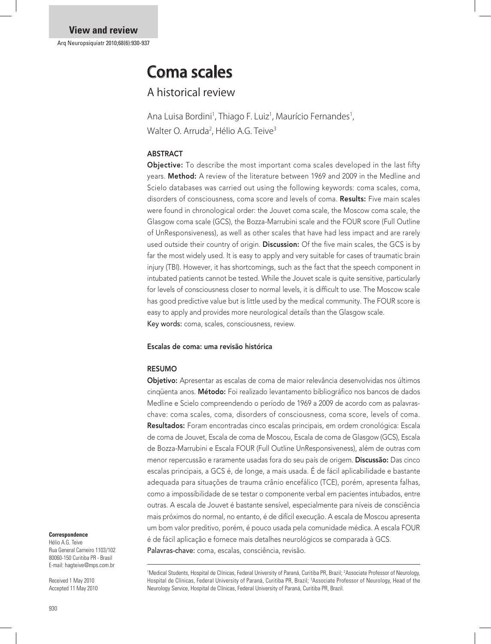# Coma scales

A historical review

Ana Luisa Bordini<sup>1</sup>, Thiago F. Luiz<sup>1</sup>, Maurício Fernandes<sup>1</sup>, Walter O. Arruda<sup>2</sup>, Hélio A.G. Teive<sup>3</sup>

# ABSTRACT

**Objective:** To describe the most important coma scales developed in the last fifty years. Method: A review of the literature between 1969 and 2009 in the Medline and Scielo databases was carried out using the following keywords: coma scales, coma, disorders of consciousness, coma score and levels of coma. Results: Five main scales were found in chronological order: the Jouvet coma scale, the Moscow coma scale, the Glasgow coma scale (GCS), the Bozza-Marrubini scale and the FOUR score (Full Outline of UnResponsiveness), as well as other scales that have had less impact and are rarely used outside their country of origin. Discussion: Of the five main scales, the GCS is by far the most widely used. It is easy to apply and very suitable for cases of traumatic brain injury (TBI). However, it has shortcomings, such as the fact that the speech component in intubated patients cannot be tested. While the Jouvet scale is quite sensitive, particularly for levels of consciousness closer to normal levels, it is difficult to use. The Moscow scale has good predictive value but is little used by the medical community. The FOUR score is easy to apply and provides more neurological details than the Glasgow scale. Key words: coma, scales, consciousness, review.

# Escalas de coma: uma revisão histórica

# RESUMO

Objetivo: Apresentar as escalas de coma de maior relevância desenvolvidas nos últimos cinqüenta anos. Método: Foi realizado levantamento bibliográfico nos bancos de dados Medline e Scielo compreendendo o período de 1969 a 2009 de acordo com as palavraschave: coma scales, coma, disorders of consciousness, coma score, levels of coma. Resultados: Foram encontradas cinco escalas principais, em ordem cronológica: Escala de coma de Jouvet, Escala de coma de Moscou, Escala de coma de Glasgow (GCS), Escala de Bozza-Marrubini e Escala FOUR (Full Outline UnResponsiveness), além de outras com menor repercussão e raramente usadas fora do seu país de origem. Discussão: Das cinco escalas principais, a GCS é, de longe, a mais usada. É de fácil aplicabilidade e bastante adequada para situações de trauma crânio encefálico (TCE), porém, apresenta falhas, como a impossibilidade de se testar o componente verbal em pacientes intubados, entre outras. A escala de Jouvet é bastante sensível, especialmente para níveis de consciência mais próximos do normal, no entanto, é de difícil execução. A escala de Moscou apresenta um bom valor preditivo, porém, é pouco usada pela comunidade médica. A escala FOUR é de fácil aplicação e fornece mais detalhes neurológicos se comparada à GCS. Palavras-chave: coma, escalas, consciência, revisão.

#### **Correspondence**

Hélio A.G. Teive Rua General Carneiro 1103/102 80060-150 Curitiba PR - Brasil E-mail: hagteive@mps.com.br

Received 1 May 2010 Accepted 11 May 2010

<sup>1</sup>Medical Students, Hospital de Clínicas, Federal University of Paraná, Curitiba PR, Brazil; <sup>2</sup>Associate Professor of Neurology, Hospital de Clínicas, Federal University of Paraná, Curitiba PR, Brazil; <sup>3</sup>Associate Professor of Neurology, Head of the Neurology Service, Hospital de Clínicas, Federal University of Paraná, Curitiba PR, Brazil.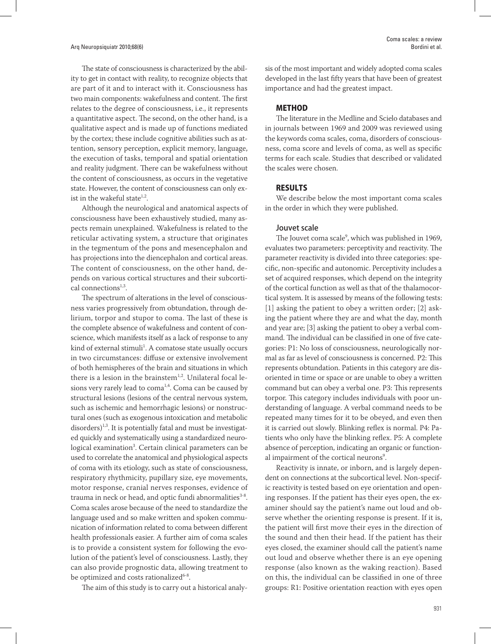The state of consciousness is characterized by the ability to get in contact with reality, to recognize objects that are part of it and to interact with it. Consciousness has two main components: wakefulness and content. The first relates to the degree of consciousness, i.e., it represents a quantitative aspect. The second, on the other hand, is a qualitative aspect and is made up of functions mediated by the cortex; these include cognitive abilities such as attention, sensory perception, explicit memory, language, the execution of tasks, temporal and spatial orientation and reality judgment. There can be wakefulness without the content of consciousness, as occurs in the vegetative state. However, the content of consciousness can only exist in the wakeful state $1,2$ .

Although the neurological and anatomical aspects of consciousness have been exhaustively studied, many aspects remain unexplained. Wakefulness is related to the reticular activating system, a structure that originates in the tegmentum of the pons and mesencephalon and has projections into the diencephalon and cortical areas. The content of consciousness, on the other hand, depends on various cortical structures and their subcortical connections $1,3$ .

The spectrum of alterations in the level of consciousness varies progressively from obtundation, through delirium, torpor and stupor to coma. The last of these is the complete absence of wakefulness and content of conscience, which manifests itself as a lack of response to any kind of external stimuli<sup>1</sup>. A comatose state usually occurs in two circumstances: diffuse or extensive involvement of both hemispheres of the brain and situations in which there is a lesion in the brainstem<sup>1,2</sup>. Unilateral focal lesions very rarely lead to  $coma<sup>1,4</sup>$ . Coma can be caused by structural lesions (lesions of the central nervous system, such as ischemic and hemorrhagic lesions) or nonstructural ones (such as exogenous intoxication and metabolic  $disorders)$ <sup>1,3</sup>. It is potentially fatal and must be investigated quickly and systematically using a standardized neurological examination<sup>3</sup>. Certain clinical parameters can be used to correlate the anatomical and physiological aspects of coma with its etiology, such as state of consciousness, respiratory rhythmicity, pupillary size, eye movements, motor response, cranial nerves responses, evidence of trauma in neck or head, and optic fundi abnormalities $3-8$ . Coma scales arose because of the need to standardize the language used and so make written and spoken communication of information related to coma between different health professionals easier. A further aim of coma scales is to provide a consistent system for following the evolution of the patient's level of consciousness. Lastly, they can also provide prognostic data, allowing treatment to be optimized and costs rationalized<sup>6-8</sup>.

The aim of this study is to carry out a historical analy-

sis of the most important and widely adopted coma scales developed in the last fifty years that have been of greatest importance and had the greatest impact.

### METHOD

The literature in the Medline and Scielo databases and in journals between 1969 and 2009 was reviewed using the keywords coma scales, coma, disorders of consciousness, coma score and levels of coma, as well as specific terms for each scale. Studies that described or validated the scales were chosen.

# RESULTS

We describe below the most important coma scales in the order in which they were published.

#### Jouvet scale

The Jouvet coma scale<sup>9</sup>, which was published in 1969, evaluates two parameters: perceptivity and reactivity. The parameter reactivity is divided into three categories: specific, non-specific and autonomic. Perceptivity includes a set of acquired responses, which depend on the integrity of the cortical function as well as that of the thalamocortical system. It is assessed by means of the following tests: [1] asking the patient to obey a written order; [2] asking the patient where they are and what the day, month and year are; [3] asking the patient to obey a verbal command. The individual can be classified in one of five categories: P1: No loss of consciousness, neurologically normal as far as level of consciousness is concerned. P2: This represents obtundation. Patients in this category are disoriented in time or space or are unable to obey a written command but can obey a verbal one. P3: This represents torpor. This category includes individuals with poor understanding of language. A verbal command needs to be repeated many times for it to be obeyed, and even then it is carried out slowly. Blinking reflex is normal. P4: Patients who only have the blinking reflex. P5: A complete absence of perception, indicating an organic or functional impairment of the cortical neurons<sup>9</sup>.

Reactivity is innate, or inborn, and is largely dependent on connections at the subcortical level. Non-specific reactivity is tested based on eye orientation and opening responses. If the patient has their eyes open, the examiner should say the patient's name out loud and observe whether the orienting response is present. If it is, the patient will first move their eyes in the direction of the sound and then their head. If the patient has their eyes closed, the examiner should call the patient's name out loud and observe whether there is an eye opening response (also known as the waking reaction). Based on this, the individual can be classified in one of three groups: R1: Positive orientation reaction with eyes open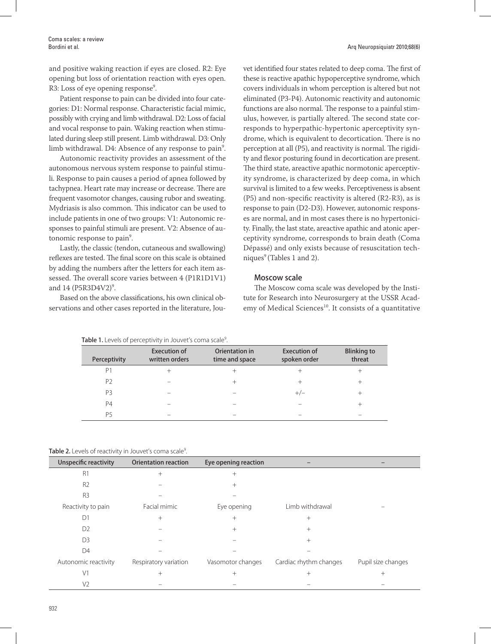and positive waking reaction if eyes are closed. R2: Eye opening but loss of orientation reaction with eyes open. R3: Loss of eye opening response<sup>9</sup>.

Patient response to pain can be divided into four categories: D1: Normal response. Characteristic facial mimic, possibly with crying and limb withdrawal. D2: Loss of facial and vocal response to pain. Waking reaction when stimulated during sleep still present. Limb withdrawal. D3: Only  $\lim b$  withdrawal. D4: Absence of any response to pain $^9$ .

Autonomic reactivity provides an assessment of the autonomous nervous system response to painful stimuli. Response to pain causes a period of apnea followed by tachypnea. Heart rate may increase or decrease. There are frequent vasomotor changes, causing rubor and sweating. Mydriasis is also common. This indicator can be used to include patients in one of two groups: V1: Autonomic responses to painful stimuli are present. V2: Absence of autonomic response to pain<sup>9</sup>.

Lastly, the classic (tendon, cutaneous and swallowing) reflexes are tested. The final score on this scale is obtained by adding the numbers after the letters for each item assessed. The overall score varies between 4 (P1R1D1V1) and  $14 \text{ (P5R3D4V2)}^9$ .

Based on the above classifications, his own clinical observations and other cases reported in the literature, JouArq Neuropsiquiatr 2010;68(6)

vet identified four states related to deep coma. The first of these is reactive apathic hypoperceptive syndrome, which covers individuals in whom perception is altered but not eliminated (P3-P4). Autonomic reactivity and autonomic functions are also normal. The response to a painful stimulus, however, is partially altered. The second state corresponds to hyperpathic-hypertonic aperceptivity syndrome, which is equivalent to decortication. There is no perception at all (P5), and reactivity is normal. The rigidity and flexor posturing found in decortication are present. The third state, areactive apathic normotonic aperceptivity syndrome, is characterized by deep coma, in which survival is limited to a few weeks. Perceptiveness is absent (P5) and non-specific reactivity is altered (R2-R3), as is response to pain (D2-D3). However, autonomic responses are normal, and in most cases there is no hypertonicity. Finally, the last state, areactive apathic and atonic aperceptivity syndrome, corresponds to brain death (Coma Dépassé) and only exists because of resuscitation techniques $\degree$  (Tables 1 and 2).

# Moscow scale

The Moscow coma scale was developed by the Institute for Research into Neurosurgery at the USSR Academy of Medical Sciences<sup>10</sup>. It consists of a quantitative

| Table 1. Levels of perceptivity in Jouvet's coma scale <sup>9</sup> . |                                       |                                  |                                     |                              |  |
|-----------------------------------------------------------------------|---------------------------------------|----------------------------------|-------------------------------------|------------------------------|--|
| Perceptivity                                                          | <b>Execution of</b><br>written orders | Orientation in<br>time and space | <b>Execution of</b><br>spoken order | <b>Blinking to</b><br>threat |  |
| P <sub>1</sub>                                                        | $^+$                                  | $^+$                             | $^+$                                | +                            |  |
| P <sub>2</sub>                                                        |                                       | $^{+}$                           | $^{+}$                              | $^{+}$                       |  |
| P <sub>3</sub>                                                        |                                       |                                  | $+/-$                               | $^{+}$                       |  |
| <b>P4</b>                                                             |                                       |                                  |                                     | $^+$                         |  |
| <b>P5</b>                                                             |                                       |                                  |                                     |                              |  |

Table 2. Levels of reactivity in Jouvet's coma scale<sup>9</sup>. .

| Unspecific reactivity | <b>Orientation reaction</b> | Eye opening reaction |                        |                    |
|-----------------------|-----------------------------|----------------------|------------------------|--------------------|
| R <sub>1</sub>        | $^{+}$                      | $^{+}$               |                        |                    |
| R <sub>2</sub>        |                             | $^{+}$               |                        |                    |
| R <sub>3</sub>        |                             |                      |                        |                    |
| Reactivity to pain    | Facial mimic                | Eye opening          | Limb withdrawal        |                    |
| D1                    | $^+$                        | $^{+}$               | $^{+}$                 |                    |
| D <sub>2</sub>        |                             | $^{+}$               | $^{+}$                 |                    |
| D <sub>3</sub>        |                             |                      | $^{+}$                 |                    |
| D <sub>4</sub>        |                             |                      |                        |                    |
| Autonomic reactivity  | Respiratory variation       | Vasomotor changes    | Cardiac rhythm changes | Pupil size changes |
| V <sub>1</sub>        | $^+$                        | $^{+}$               | $^{+}$                 | $^{+}$             |
| V <sub>2</sub>        |                             |                      |                        |                    |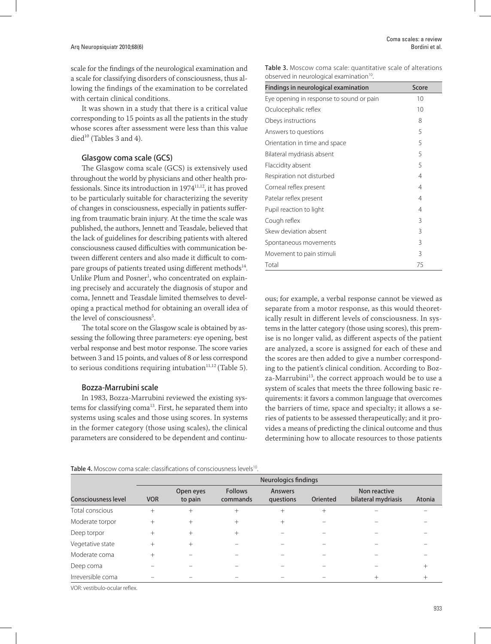scale for the findings of the neurological examination and a scale for classifying disorders of consciousness, thus allowing the findings of the examination to be correlated with certain clinical conditions.

It was shown in a study that there is a critical value corresponding to 15 points as all the patients in the study whose scores after assessment were less than this value died $^{10}$  (Tables 3 and 4).

# Glasgow coma scale (GCS)

The Glasgow coma scale (GCS) is extensively used throughout the world by physicians and other health professionals. Since its introduction in 1974<sup>11,12</sup>, it has proved to be particularly suitable for characterizing the severity of changes in consciousness, especially in patients suffering from traumatic brain injury. At the time the scale was published, the authors, Jennett and Teasdale, believed that the lack of guidelines for describing patients with altered consciousness caused difficulties with communication between different centers and also made it difficult to compare groups of patients treated using different methods<sup>14</sup>. Unlike Plum and Posner<sup>1</sup>, who concentrated on explaining precisely and accurately the diagnosis of stupor and coma, Jennett and Teasdale limited themselves to developing a practical method for obtaining an overall idea of the level of consciousness<sup>5</sup>.

The total score on the Glasgow scale is obtained by assessing the following three parameters: eye opening, best verbal response and best motor response. The score varies between 3 and 15 points, and values of 8 or less correspond to serious conditions requiring intubation $11,12$  (Table 5).

# Bozza-Marrubini scale

In 1983, Bozza-Marrubini reviewed the existing systems for classifying coma<sup>13</sup>. First, he separated them into systems using scales and those using scores. In systems in the former category (those using scales), the clinical parameters are considered to be dependent and continu-

Table 4. Moscow coma scale: classifications of consciousness levels<sup>10</sup>.

Table 3. Moscow coma scale: quantitative scale of alterations observed in neurological examination<sup>10</sup>.

| Findings in neurological examination     | Score |
|------------------------------------------|-------|
| Eye opening in response to sound or pain | 10    |
| Oculocephalic reflex                     | 10    |
| Obeys instructions                       | 8     |
| Answers to questions                     | 5     |
| Orientation in time and space            | 5     |
| Bilateral mydriasis absent               | 5     |
| Flaccidity absent                        | 5     |
| Respiration not disturbed                | 4     |
| Corneal reflex present                   | 4     |
| Patelar reflex present                   | 4     |
| Pupil reaction to light                  | 4     |
| Cough reflex                             | 3     |
| Skew deviation absent                    | 3     |
| Spontaneous movements                    | 3     |
| Movement to pain stimuli                 | 3     |
| Total                                    | 75    |

ous; for example, a verbal response cannot be viewed as separate from a motor response, as this would theoretically result in different levels of consciousness. In systems in the latter category (those using scores), this premise is no longer valid, as different aspects of the patient are analyzed, a score is assigned for each of these and the scores are then added to give a number corresponding to the patient's clinical condition. According to Bozza-Marrubini<sup>13</sup>, the correct approach would be to use a system of scales that meets the three following basic requirements: it favors a common language that overcomes the barriers of time, space and specialty; it allows a series of patients to be assessed therapeutically; and it provides a means of predicting the clinical outcome and thus determining how to allocate resources to those patients

|                            | Neurologics findings |                      |                            |                      |                 |                                     |        |
|----------------------------|----------------------|----------------------|----------------------------|----------------------|-----------------|-------------------------------------|--------|
| <b>Consciousness level</b> | <b>VOR</b>           | Open eyes<br>to pain | <b>Follows</b><br>commands | Answers<br>questions | <b>Oriented</b> | Non reactive<br>bilateral mydriasis | Atonia |
| Total conscious            | $^{+}$               | $^{+}$               | $^{+}$                     | $^{+}$               | $+$             |                                     |        |
| Moderate torpor            | $^{+}$               | $^{+}$               | $^{+}$                     | $^{+}$               |                 |                                     |        |
| Deep torpor                | $^{+}$               | $^{+}$               | $^{+}$                     |                      |                 |                                     |        |
| Vegetative state           | $^{+}$               | $^{+}$               |                            |                      |                 |                                     |        |
| Moderate coma              | $^{+}$               |                      |                            |                      |                 |                                     |        |
| Deep coma                  |                      |                      |                            |                      |                 |                                     |        |
| Irreversible coma          |                      |                      |                            |                      |                 | $^{+}$                              |        |

VOR: vestibulo-ocular reflex.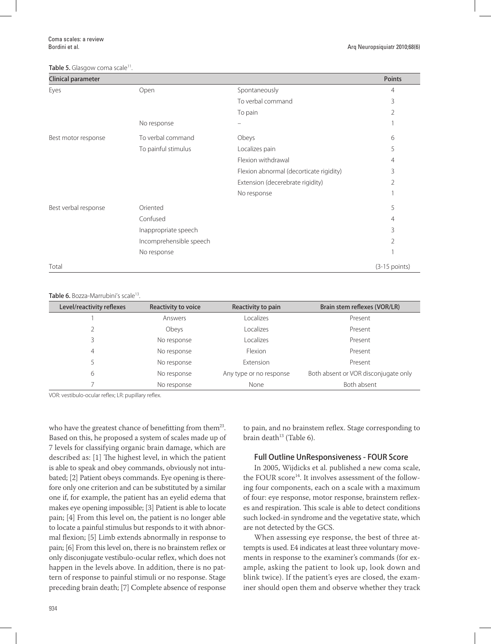#### Table 5. Glasgow coma scale<sup>11</sup>.

| Clinical parameter   |                         |                                         | <b>Points</b>   |
|----------------------|-------------------------|-----------------------------------------|-----------------|
| Eyes                 | Open                    | Spontaneously                           | 4               |
|                      |                         | To verbal command                       | 3               |
|                      |                         | To pain                                 | 2               |
|                      | No response             |                                         |                 |
| Best motor response  | To verbal command       | Obeys                                   | 6               |
|                      | To painful stimulus     | Localizes pain                          | 5               |
|                      |                         | Flexion withdrawal                      | 4               |
|                      |                         | Flexion abnormal (decorticate rigidity) | 3               |
|                      |                         | Extension (decerebrate rigidity)        | 2               |
|                      |                         | No response                             |                 |
| Best verbal response | Oriented                |                                         | 5               |
|                      | Confused                |                                         | 4               |
|                      | Inappropriate speech    |                                         | 3               |
|                      | Incomprehensible speech |                                         | 2               |
|                      | No response             |                                         |                 |
| Total                |                         |                                         | $(3-15$ points) |

#### Table 6. Bozza-Marrubini's scale<sup>13</sup>.

| Level/reactivity reflexes | Reactivity to voice | Reactivity to pain      | Brain stem reflexes (VOR/LR)         |
|---------------------------|---------------------|-------------------------|--------------------------------------|
|                           | Answers             | Localizes               | Present                              |
|                           | Obeys               | Localizes               | Present                              |
| 3                         | No response         | Localizes               | Present                              |
| 4                         | No response         | Flexion                 | Present                              |
| 5                         | No response         | Extension               | Present                              |
| 6                         | No response         | Any type or no response | Both absent or VOR disconjugate only |
|                           | No response         | None                    | Both absent                          |

VOR: vestibulo-ocular reflex; LR: pupillary reflex.

who have the greatest chance of benefitting from them<sup>23</sup>. Based on this, he proposed a system of scales made up of 7 levels for classifying organic brain damage, which are described as: [1] The highest level, in which the patient is able to speak and obey commands, obviously not intubated; [2] Patient obeys commands. Eye opening is therefore only one criterion and can be substituted by a similar one if, for example, the patient has an eyelid edema that makes eye opening impossible; [3] Patient is able to locate pain; [4] From this level on, the patient is no longer able to locate a painful stimulus but responds to it with abnormal flexion; [5] Limb extends abnormally in response to pain; [6] From this level on, there is no brainstem reflex or only disconjugate vestibulo-ocular reflex, which does not happen in the levels above. In addition, there is no pattern of response to painful stimuli or no response. Stage preceding brain death; [7] Complete absence of response

to pain, and no brainstem reflex. Stage corresponding to brain death $^{13}$  (Table 6).

### Full Outline UnResponsiveness - FOUR Score

In 2005, Wijdicks et al. published a new coma scale, the FOUR score<sup>14</sup>. It involves assessment of the following four components, each on a scale with a maximum of four: eye response, motor response, brainstem reflexes and respiration. This scale is able to detect conditions such locked-in syndrome and the vegetative state, which are not detected by the GCS.

When assessing eye response, the best of three attempts is used. E4 indicates at least three voluntary movements in response to the examiner's commands (for example, asking the patient to look up, look down and blink twice). If the patient's eyes are closed, the examiner should open them and observe whether they track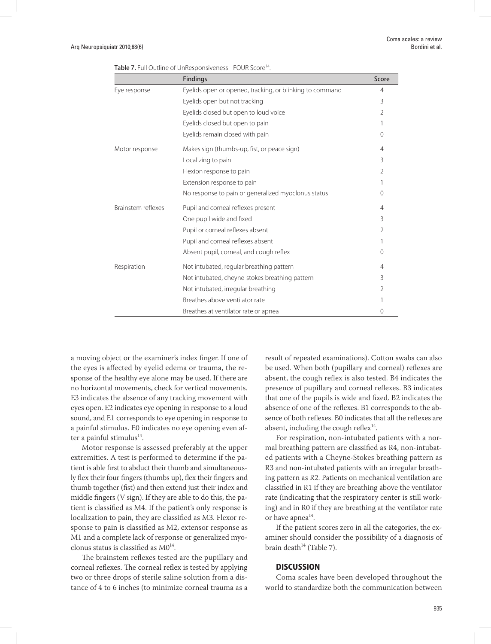|                    | <b>Findings</b>                                          | Score          |
|--------------------|----------------------------------------------------------|----------------|
| Eye response       | Eyelids open or opened, tracking, or blinking to command | 4              |
|                    | Eyelids open but not tracking                            | 3              |
|                    | Eyelids closed but open to loud voice                    | 2              |
|                    | Eyelids closed but open to pain                          |                |
|                    | Eyelids remain closed with pain                          | 0              |
| Motor response     | Makes sign (thumbs-up, fist, or peace sign)              | $\overline{4}$ |
|                    | Localizing to pain                                       | 3              |
|                    | Flexion response to pain                                 | 2              |
|                    | Extension response to pain                               |                |
|                    | No response to pain or generalized myoclonus status      | $\Omega$       |
| Brainstem reflexes | Pupil and corneal reflexes present                       | $\overline{4}$ |
|                    | One pupil wide and fixed                                 | 3              |
|                    | Pupil or corneal reflexes absent                         | 2              |
|                    | Pupil and corneal reflexes absent                        |                |
|                    | Absent pupil, corneal, and cough reflex                  | 0              |
| Respiration        | Not intubated, regular breathing pattern                 | 4              |
|                    | Not intubated, cheyne-stokes breathing pattern           | 3              |
|                    | Not intubated, irregular breathing                       | 2              |
|                    | Breathes above ventilator rate                           |                |
|                    | Breathes at ventilator rate or apnea                     | 0              |

| Table 7. Full Outline of UnResponsiveness - FOUR Score <sup>14</sup> . |  |
|------------------------------------------------------------------------|--|
|------------------------------------------------------------------------|--|

a moving object or the examiner's index finger. If one of the eyes is affected by eyelid edema or trauma, the response of the healthy eye alone may be used. If there are no horizontal movements, check for vertical movements. E3 indicates the absence of any tracking movement with eyes open. E2 indicates eye opening in response to a loud sound, and E1 corresponds to eye opening in response to a painful stimulus. E0 indicates no eye opening even after a painful stimulus $^{14}$ .

Motor response is assessed preferably at the upper extremities. A test is performed to determine if the patient is able first to abduct their thumb and simultaneously flex their four fingers (thumbs up), flex their fingers and thumb together (fist) and then extend just their index and middle fingers (V sign). If they are able to do this, the patient is classified as M4. If the patient's only response is localization to pain, they are classified as M3. Flexor response to pain is classified as M2, extensor response as M1 and a complete lack of response or generalized myoclonus status is classified as  $MO<sup>14</sup>$ .

The brainstem reflexes tested are the pupillary and corneal reflexes. The corneal reflex is tested by applying two or three drops of sterile saline solution from a distance of 4 to 6 inches (to minimize corneal trauma as a result of repeated examinations). Cotton swabs can also be used. When both (pupillary and corneal) reflexes are absent, the cough reflex is also tested. B4 indicates the presence of pupillary and corneal reflexes. B3 indicates that one of the pupils is wide and fixed. B2 indicates the absence of one of the reflexes. B1 corresponds to the absence of both reflexes. B0 indicates that all the reflexes are absent, including the cough reflex $14$ .

For respiration, non-intubated patients with a normal breathing pattern are classified as R4, non-intubated patients with a Cheyne-Stokes breathing pattern as R3 and non-intubated patients with an irregular breathing pattern as R2. Patients on mechanical ventilation are classified in R1 if they are breathing above the ventilator rate (indicating that the respiratory center is still working) and in R0 if they are breathing at the ventilator rate or have apnea<sup>14</sup>.

If the patient scores zero in all the categories, the examiner should consider the possibility of a diagnosis of brain death $14$  (Table 7).

### **DISCUSSION**

Coma scales have been developed throughout the world to standardize both the communication between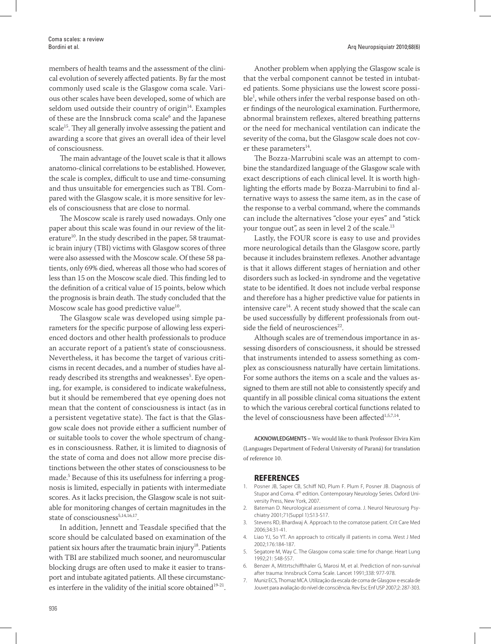members of health teams and the assessment of the clinical evolution of severely affected patients. By far the most commonly used scale is the Glasgow coma scale. Various other scales have been developed, some of which are seldom used outside their country of origin $14$ . Examples of these are the Innsbruck coma scale<sup>6</sup> and the Japanese scale<sup>15</sup>. They all generally involve assessing the patient and awarding a score that gives an overall idea of their level of consciousness.

The main advantage of the Jouvet scale is that it allows anatomo-clinical correlations to be established. However, the scale is complex, difficult to use and time-consuming and thus unsuitable for emergencies such as TBI. Compared with the Glasgow scale, it is more sensitive for levels of consciousness that are close to normal.

The Moscow scale is rarely used nowadays. Only one paper about this scale was found in our review of the literature<sup>10</sup>. In the study described in the paper, 58 traumatic brain injury (TBI) victims with Glasgow scores of three were also assessed with the Moscow scale. Of these 58 patients, only 69% died, whereas all those who had scores of less than 15 on the Moscow scale died. This finding led to the definition of a critical value of 15 points, below which the prognosis is brain death. The study concluded that the Moscow scale has good predictive value<sup>10</sup>.

The Glasgow scale was developed using simple parameters for the specific purpose of allowing less experienced doctors and other health professionals to produce an accurate report of a patient's state of consciousness. Nevertheless, it has become the target of various criticisms in recent decades, and a number of studies have already described its strengths and weaknesses<sup>5</sup>. Eye opening, for example, is considered to indicate wakefulness, but it should be remembered that eye opening does not mean that the content of consciousness is intact (as in a persistent vegetative state). The fact is that the Glasgow scale does not provide either a sufficient number of or suitable tools to cover the whole spectrum of changes in consciousness. Rather, it is limited to diagnosis of the state of coma and does not allow more precise distinctions between the other states of consciousness to be made.5 Because of this its usefulness for inferring a prognosis is limited, especially in patients with intermediate scores. As it lacks precision, the Glasgow scale is not suitable for monitoring changes of certain magnitudes in the state of consciousness<sup>5,14,16,17</sup>.

In addition, Jennett and Teasdale specified that the score should be calculated based on examination of the patient six hours after the traumatic brain injury<sup>18</sup>. Patients with TBI are stabilized much sooner, and neuromuscular blocking drugs are often used to make it easier to transport and intubate agitated patients. All these circumstances interfere in the validity of the initial score obtained $19-21$ .

Another problem when applying the Glasgow scale is that the verbal component cannot be tested in intubated patients. Some physicians use the lowest score possible<sup>1</sup>, while others infer the verbal response based on other findings of the neurological examination. Furthermore, abnormal brainstem reflexes, altered breathing patterns or the need for mechanical ventilation can indicate the severity of the coma, but the Glasgow scale does not cover these parameters $^{14}$ .

The Bozza-Marrubini scale was an attempt to combine the standardized language of the Glasgow scale with exact descriptions of each clinical level. It is worth highlighting the efforts made by Bozza-Marrubini to find alternative ways to assess the same item, as in the case of the response to a verbal command, where the commands can include the alternatives "close your eyes" and "stick your tongue out", as seen in level 2 of the scale.<sup>13</sup>

Lastly, the FOUR score is easy to use and provides more neurological details than the Glasgow score, partly because it includes brainstem reflexes. Another advantage is that it allows different stages of herniation and other disorders such as locked-in syndrome and the vegetative state to be identified. It does not include verbal response and therefore has a higher predictive value for patients in intensive care<sup>14</sup>. A recent study showed that the scale can be used successfully by different professionals from outside the field of neurosciences $22$ .

Although scales are of tremendous importance in assessing disorders of consciousness, it should be stressed that instruments intended to assess something as complex as consciousness naturally have certain limitations. For some authors the items on a scale and the values assigned to them are still not able to consistently specify and quantify in all possible clinical coma situations the extent to which the various cerebral cortical functions related to the level of consciousness have been affected<sup>1,5,7,14</sup>.

ACKNOWLEDGMENTS – We would like to thank Professor Elvira Kim (Languages Department of Federal University of Paraná) for translation of reference 10.

#### **REFERENCES**

- 1. Posner JB, Saper CB, Schiff ND, Plum F. Plum F, Posner JB. Diagnosis of Stupor and Coma. 4<sup>th</sup> edition. Contemporary Neurology Series. Oxford University Press, New York, 2007.
- 2. Bateman D. Neurological assessment of coma. J. Neurol Neurosurg Psychiatry 2001;71(Suppl 1):S13-S17.
- Stevens RD, Bhardwaj A. Approach to the comatose patient. Crit Care Med 2006;34:31-41.
- 4. Liao YJ, So YT. An approach to critically ill patients in coma. West J Med 2002;176:184-187.
- 5. Segatore M, Way C. The Glasgow coma scale: time for change. Heart Lung 1992;21: 548-557.
- 6. Benzer A, Mittrtschiffthaler G, Marosi M, et al. Prediction of non-survival after trauma: Innsbruck Coma Scale. Lancet 1991;338: 977-978.
- 7. Muniz ECS, Thomaz MCA. Utilização da escala de coma de Glasgow e escala de Jouvet para avaliação do nível de consciência. Rev Esc Enf USP 2007;2: 287-303.